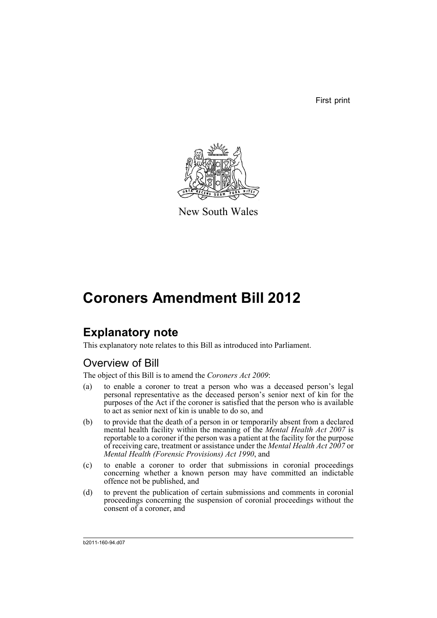First print



New South Wales

## **Coroners Amendment Bill 2012**

### **Explanatory note**

This explanatory note relates to this Bill as introduced into Parliament.

### Overview of Bill

The object of this Bill is to amend the *Coroners Act 2009*:

- (a) to enable a coroner to treat a person who was a deceased person's legal personal representative as the deceased person's senior next of kin for the purposes of the Act if the coroner is satisfied that the person who is available to act as senior next of kin is unable to do so, and
- (b) to provide that the death of a person in or temporarily absent from a declared mental health facility within the meaning of the *Mental Health Act 2007* is reportable to a coroner if the person was a patient at the facility for the purpose of receiving care, treatment or assistance under the *Mental Health Act 2007* or *Mental Health (Forensic Provisions) Act 1990*, and
- (c) to enable a coroner to order that submissions in coronial proceedings concerning whether a known person may have committed an indictable offence not be published, and
- (d) to prevent the publication of certain submissions and comments in coronial proceedings concerning the suspension of coronial proceedings without the consent of a coroner, and

b2011-160-94.d07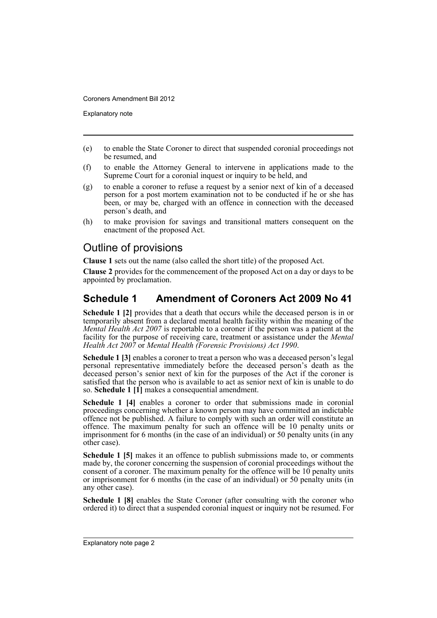Explanatory note

- (e) to enable the State Coroner to direct that suspended coronial proceedings not be resumed, and
- (f) to enable the Attorney General to intervene in applications made to the Supreme Court for a coronial inquest or inquiry to be held, and
- (g) to enable a coroner to refuse a request by a senior next of kin of a deceased person for a post mortem examination not to be conducted if he or she has been, or may be, charged with an offence in connection with the deceased person's death, and
- (h) to make provision for savings and transitional matters consequent on the enactment of the proposed Act.

### Outline of provisions

**Clause 1** sets out the name (also called the short title) of the proposed Act.

**Clause 2** provides for the commencement of the proposed Act on a day or days to be appointed by proclamation.

### **Schedule 1 Amendment of Coroners Act 2009 No 41**

**Schedule 1 [2]** provides that a death that occurs while the deceased person is in or temporarily absent from a declared mental health facility within the meaning of the *Mental Health Act 2007* is reportable to a coroner if the person was a patient at the facility for the purpose of receiving care, treatment or assistance under the *Mental Health Act 2007* or *Mental Health (Forensic Provisions) Act 1990*.

**Schedule 1 [3]** enables a coroner to treat a person who was a deceased person's legal personal representative immediately before the deceased person's death as the deceased person's senior next of kin for the purposes of the Act if the coroner is satisfied that the person who is available to act as senior next of kin is unable to do so. **Schedule 1 [1]** makes a consequential amendment.

**Schedule 1 [4]** enables a coroner to order that submissions made in coronial proceedings concerning whether a known person may have committed an indictable offence not be published. A failure to comply with such an order will constitute an offence. The maximum penalty for such an offence will be 10 penalty units or imprisonment for 6 months (in the case of an individual) or 50 penalty units (in any other case).

**Schedule 1 [5]** makes it an offence to publish submissions made to, or comments made by, the coroner concerning the suspension of coronial proceedings without the consent of a coroner. The maximum penalty for the offence will be 10 penalty units or imprisonment for 6 months (in the case of an individual) or 50 penalty units (in any other case).

**Schedule 1 [8]** enables the State Coroner (after consulting with the coroner who ordered it) to direct that a suspended coronial inquest or inquiry not be resumed. For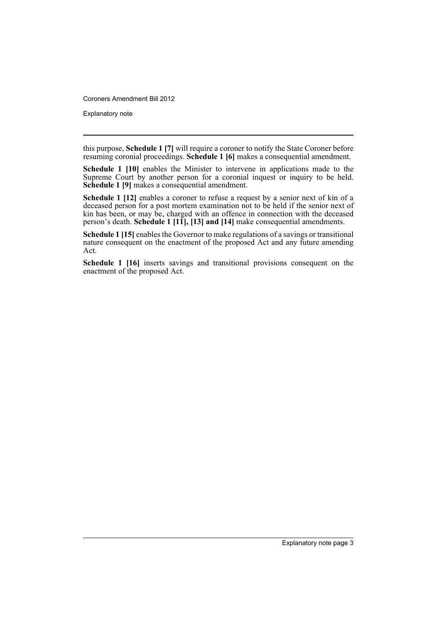Explanatory note

this purpose, **Schedule 1 [7]** will require a coroner to notify the State Coroner before resuming coronial proceedings. **Schedule 1 [6]** makes a consequential amendment.

**Schedule 1 [10]** enables the Minister to intervene in applications made to the Supreme Court by another person for a coronial inquest or inquiry to be held. **Schedule 1 [9]** makes a consequential amendment.

**Schedule 1 [12]** enables a coroner to refuse a request by a senior next of kin of a deceased person for a post mortem examination not to be held if the senior next of kin has been, or may be, charged with an offence in connection with the deceased person's death. **Schedule 1 [11], [13] and [14]** make consequential amendments.

**Schedule 1 [15]** enables the Governor to make regulations of a savings or transitional nature consequent on the enactment of the proposed Act and any future amending Act.

**Schedule 1 [16]** inserts savings and transitional provisions consequent on the enactment of the proposed Act.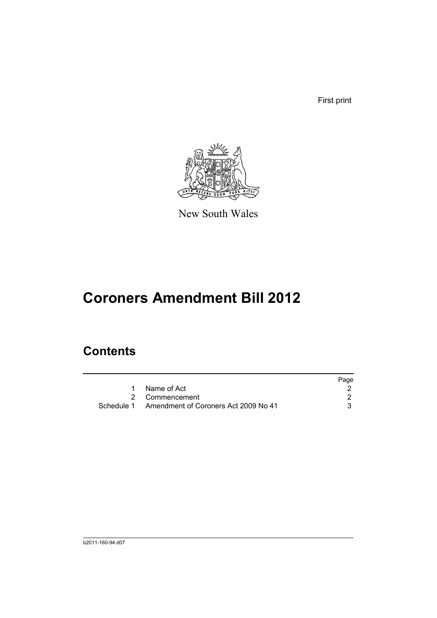First print



New South Wales

# **Coroners Amendment Bill 2012**

### **Contents**

|                                                 | Page |
|-------------------------------------------------|------|
| Name of Act                                     |      |
| 2 Commencement                                  |      |
| Schedule 1 Amendment of Coroners Act 2009 No 41 |      |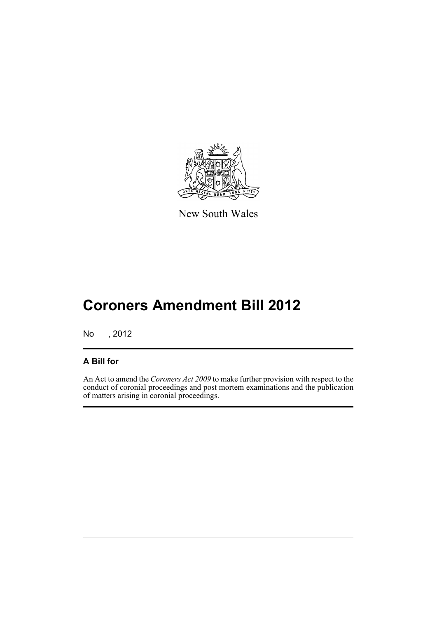

New South Wales

# **Coroners Amendment Bill 2012**

No , 2012

#### **A Bill for**

An Act to amend the *Coroners Act 2009* to make further provision with respect to the conduct of coronial proceedings and post mortem examinations and the publication of matters arising in coronial proceedings.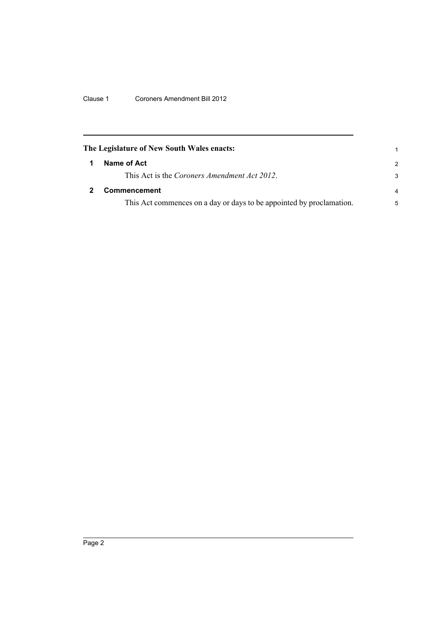Clause 1 Coroners Amendment Bill 2012

<span id="page-7-1"></span><span id="page-7-0"></span>

| The Legislature of New South Wales enacts:                           |               |
|----------------------------------------------------------------------|---------------|
| Name of Act                                                          | $\mathcal{P}$ |
| This Act is the Coroners Amendment Act 2012.                         | 3             |
| Commencement                                                         | 4             |
| This Act commences on a day or days to be appointed by proclamation. | 5             |
|                                                                      |               |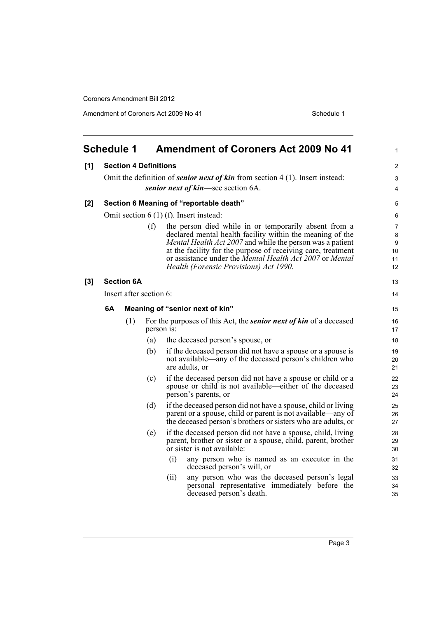Amendment of Coroners Act 2009 No 41 Schedule 1

<span id="page-8-0"></span>

| <b>Schedule 1</b> |    |                   | <b>Amendment of Coroners Act 2009 No 41</b> | 1                                                                                                                                                                                                                                                                                                                                                     |                                     |
|-------------------|----|-------------------|---------------------------------------------|-------------------------------------------------------------------------------------------------------------------------------------------------------------------------------------------------------------------------------------------------------------------------------------------------------------------------------------------------------|-------------------------------------|
| [1]               |    |                   | <b>Section 4 Definitions</b>                |                                                                                                                                                                                                                                                                                                                                                       | 2                                   |
|                   |    |                   |                                             | Omit the definition of <i>senior next of kin</i> from section $4(1)$ . Insert instead:                                                                                                                                                                                                                                                                | 3                                   |
|                   |    |                   |                                             | senior next of kin—see section 6A.                                                                                                                                                                                                                                                                                                                    | 4                                   |
| [2]               |    |                   |                                             | Section 6 Meaning of "reportable death"                                                                                                                                                                                                                                                                                                               | 5                                   |
|                   |    |                   |                                             | Omit section $6(1)$ (f). Insert instead:                                                                                                                                                                                                                                                                                                              | 6                                   |
|                   |    |                   | (f)                                         | the person died while in or temporarily absent from a<br>declared mental health facility within the meaning of the<br>Mental Health Act 2007 and while the person was a patient<br>at the facility for the purpose of receiving care, treatment<br>or assistance under the Mental Health Act 2007 or Mental<br>Health (Forensic Provisions) Act 1990. | 7<br>$\bf 8$<br>9<br>10<br>11<br>12 |
| $[3]$             |    | <b>Section 6A</b> |                                             |                                                                                                                                                                                                                                                                                                                                                       | 13                                  |
|                   |    |                   | Insert after section 6:                     |                                                                                                                                                                                                                                                                                                                                                       | 14                                  |
|                   | 6A |                   |                                             | Meaning of "senior next of kin"                                                                                                                                                                                                                                                                                                                       | 15                                  |
|                   |    | (1)               |                                             | For the purposes of this Act, the <i>senior next of kin</i> of a deceased<br>person is:                                                                                                                                                                                                                                                               | 16<br>17                            |
|                   |    |                   | (a)                                         | the deceased person's spouse, or                                                                                                                                                                                                                                                                                                                      | 18                                  |
|                   |    |                   | (b)                                         | if the deceased person did not have a spouse or a spouse is<br>not available—any of the deceased person's children who<br>are adults, or                                                                                                                                                                                                              | 19<br>20<br>21                      |
|                   |    |                   | (c)                                         | if the deceased person did not have a spouse or child or a<br>spouse or child is not available—either of the deceased<br>person's parents, or                                                                                                                                                                                                         | 22<br>23<br>24                      |
|                   |    |                   | (d)                                         | if the deceased person did not have a spouse, child or living<br>parent or a spouse, child or parent is not available—any of<br>the deceased person's brothers or sisters who are adults, or                                                                                                                                                          | 25<br>26<br>27                      |
|                   |    |                   | (e)                                         | if the deceased person did not have a spouse, child, living<br>parent, brother or sister or a spouse, child, parent, brother<br>or sister is not available:                                                                                                                                                                                           | 28<br>29<br>30                      |
|                   |    |                   |                                             | any person who is named as an executor in the<br>(i)<br>deceased person's will, or                                                                                                                                                                                                                                                                    | 31<br>32                            |
|                   |    |                   |                                             | any person who was the deceased person's legal<br>(ii)<br>personal representative immediately before the<br>deceased person's death.                                                                                                                                                                                                                  | 33<br>34<br>35                      |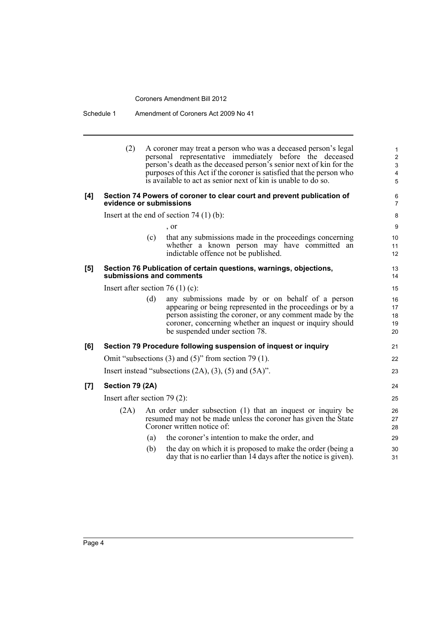Schedule 1 Amendment of Coroners Act 2009 No 41

|                    | (2)                              |     | A coroner may treat a person who was a deceased person's legal<br>personal representative immediately before the deceased<br>person's death as the deceased person's senior next of kin for the<br>purposes of this Act if the coroner is satisfied that the person who<br>is available to act as senior next of kin is unable to do so. | 1<br>$\overline{\mathbf{c}}$<br>3<br>4<br>5 |
|--------------------|----------------------------------|-----|------------------------------------------------------------------------------------------------------------------------------------------------------------------------------------------------------------------------------------------------------------------------------------------------------------------------------------------|---------------------------------------------|
| [4]                | evidence or submissions          |     | Section 74 Powers of coroner to clear court and prevent publication of                                                                                                                                                                                                                                                                   | 6<br>7                                      |
|                    |                                  |     | Insert at the end of section $74(1)(b)$ :                                                                                                                                                                                                                                                                                                | 8                                           |
|                    |                                  |     | $\cdot$ or                                                                                                                                                                                                                                                                                                                               | 9                                           |
|                    |                                  | (c) | that any submissions made in the proceedings concerning<br>whether a known person may have committed an<br>indictable offence not be published.                                                                                                                                                                                          | 10<br>11<br>12                              |
| [5]                |                                  |     | Section 76 Publication of certain questions, warnings, objections,<br>submissions and comments                                                                                                                                                                                                                                           | 13<br>14                                    |
|                    | Insert after section 76 (1) (c): |     |                                                                                                                                                                                                                                                                                                                                          | 15                                          |
|                    |                                  | (d) | any submissions made by or on behalf of a person<br>appearing or being represented in the proceedings or by a<br>person assisting the coroner, or any comment made by the<br>coroner, concerning whether an inquest or inquiry should<br>be suspended under section 78.                                                                  | 16<br>17<br>18<br>19<br>20                  |
| [6]                |                                  |     | Section 79 Procedure following suspension of inquest or inquiry                                                                                                                                                                                                                                                                          | 21                                          |
|                    |                                  |     | Omit "subsections $(3)$ and $(5)$ " from section 79 $(1)$ .                                                                                                                                                                                                                                                                              | 22                                          |
|                    |                                  |     | Insert instead "subsections $(2A)$ , $(3)$ , $(5)$ and $(5A)$ ".                                                                                                                                                                                                                                                                         | 23                                          |
| $\left[ 7 \right]$ | Section 79 (2A)                  |     |                                                                                                                                                                                                                                                                                                                                          | 24                                          |
|                    | Insert after section $79(2)$ :   |     |                                                                                                                                                                                                                                                                                                                                          | 25                                          |
|                    | (2A)                             |     | An order under subsection (1) that an inquest or inquiry be<br>resumed may not be made unless the coroner has given the State<br>Coroner written notice of:                                                                                                                                                                              | 26<br>27<br>28                              |
|                    |                                  | (a) | the coroner's intention to make the order, and                                                                                                                                                                                                                                                                                           | 29                                          |
|                    |                                  | (b) | the day on which it is proposed to make the order (being a<br>day that is no earlier than 14 days after the notice is given).                                                                                                                                                                                                            | 30<br>31                                    |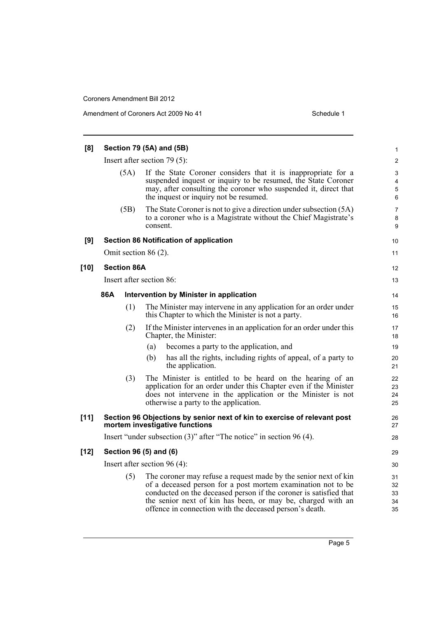| [8]    |                                |                    | Section 79 (5A) and (5B)                                                                                                                                                                                                                                                                                                       | $\mathbf{1}$               |
|--------|--------------------------------|--------------------|--------------------------------------------------------------------------------------------------------------------------------------------------------------------------------------------------------------------------------------------------------------------------------------------------------------------------------|----------------------------|
|        | Insert after section $79(5)$ : |                    |                                                                                                                                                                                                                                                                                                                                |                            |
|        |                                | (5A)               | If the State Coroner considers that it is inappropriate for a<br>suspended inquest or inquiry to be resumed, the State Coroner<br>may, after consulting the coroner who suspended it, direct that<br>the inquest or inquiry not be resumed.                                                                                    | 3<br>4<br>5<br>6           |
|        |                                | (5B)               | The State Coroner is not to give a direction under subsection (5A)<br>to a coroner who is a Magistrate without the Chief Magistrate's<br>consent.                                                                                                                                                                              | $\overline{7}$<br>8<br>9   |
| [9]    |                                |                    | <b>Section 86 Notification of application</b>                                                                                                                                                                                                                                                                                  | 10                         |
|        |                                |                    | Omit section $86(2)$ .                                                                                                                                                                                                                                                                                                         | 11                         |
| $[10]$ |                                | <b>Section 86A</b> |                                                                                                                                                                                                                                                                                                                                | 12                         |
|        |                                |                    | Insert after section 86:                                                                                                                                                                                                                                                                                                       | 13                         |
|        | 86A                            |                    | Intervention by Minister in application                                                                                                                                                                                                                                                                                        | 14                         |
|        |                                | (1)                | The Minister may intervene in any application for an order under<br>this Chapter to which the Minister is not a party.                                                                                                                                                                                                         | 15<br>16                   |
|        |                                | (2)                | If the Minister intervenes in an application for an order under this<br>Chapter, the Minister:                                                                                                                                                                                                                                 | 17<br>18                   |
|        |                                |                    | becomes a party to the application, and<br>(a)                                                                                                                                                                                                                                                                                 | 19                         |
|        |                                |                    | has all the rights, including rights of appeal, of a party to<br>(b)<br>the application.                                                                                                                                                                                                                                       | 20<br>21                   |
|        |                                | (3)                | The Minister is entitled to be heard on the hearing of an<br>application for an order under this Chapter even if the Minister<br>does not intervene in the application or the Minister is not<br>otherwise a party to the application.                                                                                         | 22<br>23<br>24<br>25       |
| $[11]$ |                                |                    | Section 96 Objections by senior next of kin to exercise of relevant post<br>mortem investigative functions                                                                                                                                                                                                                     | 26<br>27                   |
|        |                                |                    | Insert "under subsection $(3)$ " after "The notice" in section 96 $(4)$ .                                                                                                                                                                                                                                                      | 28                         |
| $[12]$ |                                |                    | Section 96 (5) and (6)                                                                                                                                                                                                                                                                                                         | 29                         |
|        |                                |                    | Insert after section $96(4)$ :                                                                                                                                                                                                                                                                                                 | 30                         |
|        |                                | (5)                | The coroner may refuse a request made by the senior next of kin<br>of a deceased person for a post mortem examination not to be<br>conducted on the deceased person if the coroner is satisfied that<br>the senior next of kin has been, or may be, charged with an<br>offence in connection with the deceased person's death. | 31<br>32<br>33<br>34<br>35 |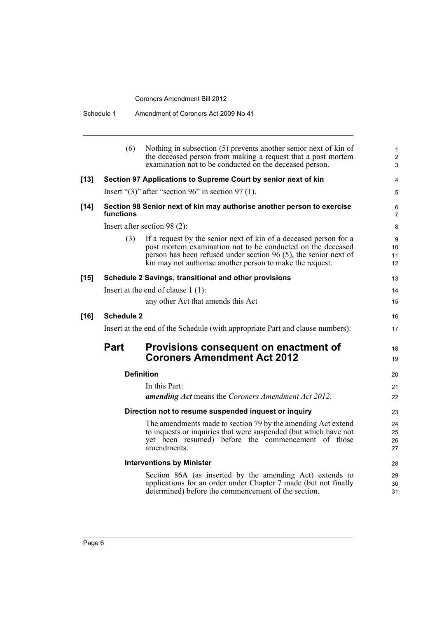|        | Schedule 1                                                                    | Amendment of Coroners Act 2009 No 41                                                                                                                                                                                                                              |  |  |
|--------|-------------------------------------------------------------------------------|-------------------------------------------------------------------------------------------------------------------------------------------------------------------------------------------------------------------------------------------------------------------|--|--|
|        | (6)                                                                           | Nothing in subsection (5) prevents another senior next of kin of<br>the deceased person from making a request that a post mortem<br>examination not to be conducted on the deceased person.                                                                       |  |  |
| $[13]$ |                                                                               | Section 97 Applications to Supreme Court by senior next of kin                                                                                                                                                                                                    |  |  |
|        |                                                                               | Insert " $(3)$ " after "section 96" in section 97 (1).                                                                                                                                                                                                            |  |  |
| $[14]$ | functions                                                                     | Section 98 Senior next of kin may authorise another person to exercise                                                                                                                                                                                            |  |  |
|        |                                                                               | Insert after section $98(2)$ :                                                                                                                                                                                                                                    |  |  |
|        | (3)                                                                           | If a request by the senior next of kin of a deceased person for a<br>post mortem examination not to be conducted on the deceased<br>person has been refused under section 96 (5), the senior next of<br>kin may not authorise another person to make the request. |  |  |
| $[15]$ |                                                                               | Schedule 2 Savings, transitional and other provisions                                                                                                                                                                                                             |  |  |
|        |                                                                               | Insert at the end of clause $1(1)$ :                                                                                                                                                                                                                              |  |  |
|        |                                                                               | any other Act that amends this Act                                                                                                                                                                                                                                |  |  |
| $[16]$ | <b>Schedule 2</b>                                                             |                                                                                                                                                                                                                                                                   |  |  |
|        | Insert at the end of the Schedule (with appropriate Part and clause numbers): |                                                                                                                                                                                                                                                                   |  |  |
|        | <b>Part</b>                                                                   | Provisions consequent on enactment of<br><b>Coroners Amendment Act 2012</b>                                                                                                                                                                                       |  |  |
|        |                                                                               | <b>Definition</b>                                                                                                                                                                                                                                                 |  |  |
|        |                                                                               | In this Dort.                                                                                                                                                                                                                                                     |  |  |

In this Part: *amending Act* means the *Coroners Amendment Act 2012*. **Direction not to resume suspended inquest or inquiry** The amendments made to section 79 by the amending Act extend to inquests or inquiries that were suspended (but which have not yet been resumed) before the commencement of those amendments. **Interventions by Minister** Section 86A (as inserted by the amending Act) extends to applications for an order under Chapter 7 made (but not finally determined) before the commencement of the section. 19 20 21 22 23 24 25 26 27 28 29 30 31

16 17

18